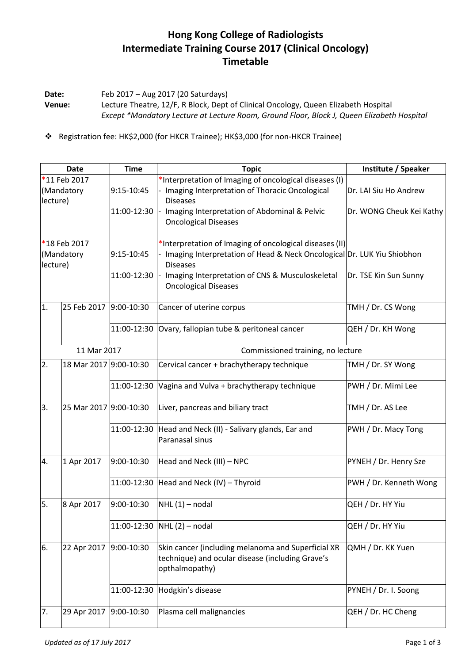## **Hong Kong College of Radiologists Intermediate Training Course 2017 (Clinical Oncology) Timetable**

**Date:** Feb 2017 – Aug 2017 (20 Saturdays) **Venue:** Lecture Theatre, 12/F, R Block, Dept of Clinical Oncology, Queen Elizabeth Hospital *Except \*Mandatory Lecture at Lecture Room, Ground Floor, Block J, Queen Elizabeth Hospital*

Registration fee: HK\$2,000 (for HKCR Trainee); HK\$3,000 (for non-HKCR Trainee)

| <b>Date</b>            |                        | <b>Time</b>  | <b>Topic</b>                                                                                                             | Institute / Speaker      |
|------------------------|------------------------|--------------|--------------------------------------------------------------------------------------------------------------------------|--------------------------|
| *11 Feb 2017           |                        |              | *Interpretation of Imaging of oncological diseases (I)                                                                   |                          |
| (Mandatory<br>lecture) |                        | 9:15-10:45   | Imaging Interpretation of Thoracic Oncological<br><b>Diseases</b>                                                        | Dr. LAI Siu Ho Andrew    |
|                        |                        | 11:00-12:30  | Imaging Interpretation of Abdominal & Pelvic<br><b>Oncological Diseases</b>                                              | Dr. WONG Cheuk Kei Kathy |
| *18 Feb 2017           |                        |              | *Interpretation of Imaging of oncological diseases (II)                                                                  |                          |
| (Mandatory<br>lecture) |                        | 9:15-10:45   | Imaging Interpretation of Head & Neck Oncological Dr. LUK Yiu Shiobhon<br><b>Diseases</b>                                |                          |
|                        |                        | 11:00-12:30  | Imaging Interpretation of CNS & Musculoskeletal<br><b>Oncological Diseases</b>                                           | Dr. TSE Kin Sun Sunny    |
| 1.                     | 25 Feb 2017 9:00-10:30 |              | Cancer of uterine corpus                                                                                                 | TMH / Dr. CS Wong        |
|                        |                        | 11:00-12:30  | Ovary, fallopian tube & peritoneal cancer                                                                                | QEH / Dr. KH Wong        |
| 11 Mar 2017            |                        |              | Commissioned training, no lecture                                                                                        |                          |
| 2.                     | 18 Mar 2017 9:00-10:30 |              | Cervical cancer + brachytherapy technique                                                                                | TMH / Dr. SY Wong        |
|                        |                        | 11:00-12:30  | Vagina and Vulva + brachytherapy technique                                                                               | PWH / Dr. Mimi Lee       |
| 3.                     | 25 Mar 2017 9:00-10:30 |              | Liver, pancreas and biliary tract                                                                                        | TMH / Dr. AS Lee         |
|                        |                        | 11:00-12:30  | Head and Neck (II) - Salivary glands, Ear and<br>Paranasal sinus                                                         | PWH / Dr. Macy Tong      |
| 4.                     | 1 Apr 2017             | 9:00-10:30   | Head and Neck (III) - NPC                                                                                                | PYNEH / Dr. Henry Sze    |
|                        |                        | 11:00-12:30  | Head and Neck (IV) - Thyroid                                                                                             | PWH / Dr. Kenneth Wong   |
| 5.                     | 8 Apr 2017             | 9:00-10:30   | $NHL(1)$ – nodal                                                                                                         | QEH / Dr. HY Yiu         |
|                        |                        | 11:00-12:30  | $NHL(2)$ – nodal                                                                                                         | QEH / Dr. HY Yiu         |
| 6.                     | 22 Apr 2017            | 9:00-10:30   | Skin cancer (including melanoma and Superficial XR<br>technique) and ocular disease (including Grave's<br>opthalmopathy) | QMH / Dr. KK Yuen        |
|                        |                        | 11:00-12:30  | Hodgkin's disease                                                                                                        | PYNEH / Dr. I. Soong     |
| 7.                     | 29 Apr 2017            | $9:00-10:30$ | Plasma cell malignancies                                                                                                 | QEH / Dr. HC Cheng       |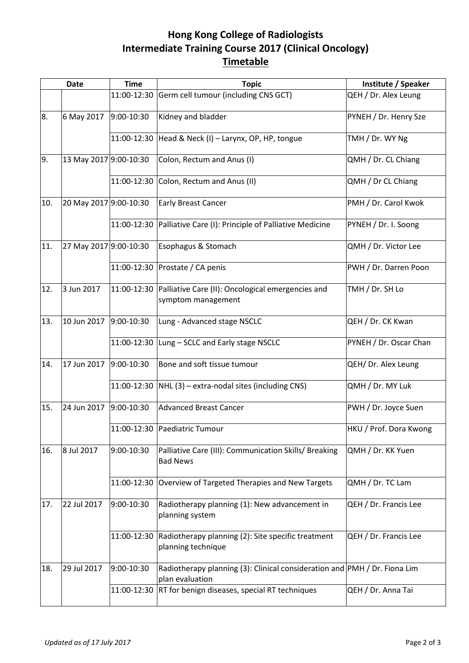## **Hong Kong College of Radiologists Intermediate Training Course 2017 (Clinical Oncology) Timetable**

| <b>Date</b> |                        | <b>Time</b> | <b>Topic</b>                                                                                 | Institute / Speaker    |
|-------------|------------------------|-------------|----------------------------------------------------------------------------------------------|------------------------|
|             |                        | 11:00-12:30 | Germ cell tumour (including CNS GCT)                                                         | QEH / Dr. Alex Leung   |
| 8.          | 6 May 2017             | 9:00-10:30  | Kidney and bladder                                                                           | PYNEH / Dr. Henry Sze  |
|             |                        |             | 11:00-12:30 Head & Neck (I) - Larynx, OP, HP, tongue                                         | TMH / Dr. WY Ng        |
| 9.          | 13 May 2017 9:00-10:30 |             | Colon, Rectum and Anus (I)                                                                   | QMH / Dr. CL Chiang    |
|             |                        |             | 11:00-12:30 Colon, Rectum and Anus (II)                                                      | QMH / Dr CL Chiang     |
| 10.         | 20 May 2017 9:00-10:30 |             | <b>Early Breast Cancer</b>                                                                   | PMH / Dr. Carol Kwok   |
|             |                        | 11:00-12:30 | Palliative Care (I): Principle of Palliative Medicine                                        | PYNEH / Dr. I. Soong   |
| 11.         | 27 May 2017 9:00-10:30 |             | Esophagus & Stomach                                                                          | QMH / Dr. Victor Lee   |
|             |                        |             | 11:00-12:30 Prostate / CA penis                                                              | PWH / Dr. Darren Poon  |
| 12.         | 3 Jun 2017             |             | 11:00-12:30 Palliative Care (II): Oncological emergencies and<br>symptom management          | TMH / Dr. SH Lo        |
| 13.         | 10 Jun 2017            | 9:00-10:30  | Lung - Advanced stage NSCLC                                                                  | QEH / Dr. CK Kwan      |
|             |                        |             | 11:00-12:30 Lung - SCLC and Early stage NSCLC                                                | PYNEH / Dr. Oscar Chan |
| 14.         | 17 Jun 2017            | 9:00-10:30  | Bone and soft tissue tumour                                                                  | QEH/ Dr. Alex Leung    |
|             |                        |             | 11:00-12:30 $ NHL(3) -$ extra-nodal sites (including CNS)                                    | QMH / Dr. MY Luk       |
| 15.         | 24 Jun 2017            | 9:00-10:30  | <b>Advanced Breast Cancer</b>                                                                | PWH / Dr. Joyce Suen   |
|             |                        |             | 11:00-12:30 Paediatric Tumour                                                                | HKU / Prof. Dora Kwong |
| 16.         | 8 Jul 2017             | 9:00-10:30  | Palliative Care (III): Communication Skills/ Breaking<br><b>Bad News</b>                     | QMH / Dr. KK Yuen      |
|             |                        | 11:00-12:30 | Overview of Targeted Therapies and New Targets                                               | QMH / Dr. TC Lam       |
| 17.         | 22 Jul 2017            | 9:00-10:30  | Radiotherapy planning (1): New advancement in<br>planning system                             | QEH / Dr. Francis Lee  |
|             |                        | 11:00-12:30 | Radiotherapy planning (2): Site specific treatment<br>planning technique                     | QEH / Dr. Francis Lee  |
| 18.         | 29 Jul 2017            | 9:00-10:30  | Radiotherapy planning (3): Clinical consideration and PMH / Dr. Fiona Lim<br>plan evaluation |                        |
|             |                        | 11:00-12:30 | RT for benign diseases, special RT techniques                                                | QEH / Dr. Anna Tai     |